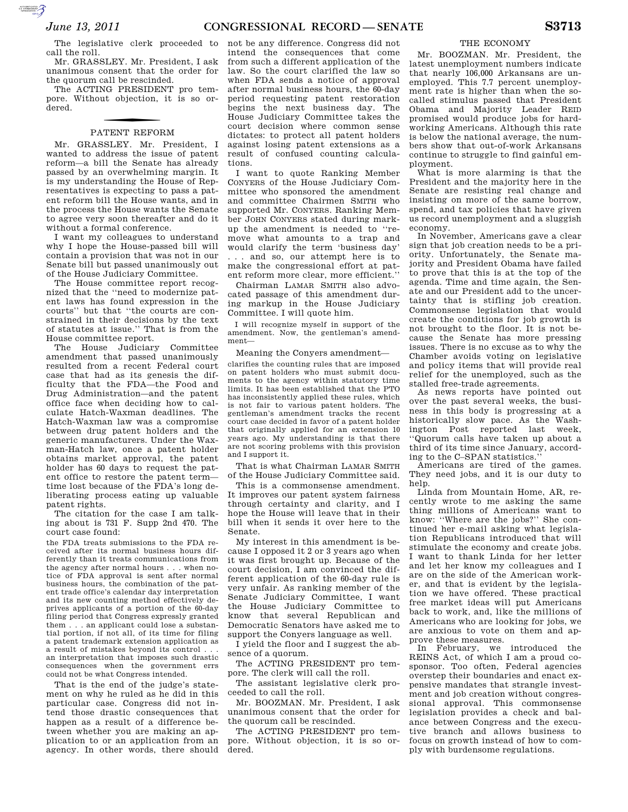**SUPERING AND SECURE AND** 

The legislative clerk proceeded to call the roll.

Mr. GRASSLEY. Mr. President, I ask unanimous consent that the order for the quorum call be rescinded.

The ACTING PRESIDENT pro tempore. Without objection, it is so ordered.

## f PATENT REFORM

Mr. GRASSLEY. Mr. President, I wanted to address the issue of patent reform—a bill the Senate has already passed by an overwhelming margin. It is my understanding the House of Representatives is expecting to pass a patent reform bill the House wants, and in the process the House wants the Senate to agree very soon thereafter and do it without a formal conference.

I want my colleagues to understand why I hope the House-passed bill will contain a provision that was not in our Senate bill but passed unanimously out of the House Judiciary Committee.

The House committee report recognized that the ''need to modernize patent laws has found expression in the courts'' but that ''the courts are constrained in their decisions by the text of statutes at issue.'' That is from the House committee report.

The House Judiciary Committee amendment that passed unanimously resulted from a recent Federal court case that had as its genesis the difficulty that the FDA—the Food and Drug Administration—and the patent office face when deciding how to calculate Hatch-Waxman deadlines. The Hatch-Waxman law was a compromise between drug patent holders and the generic manufacturers. Under the Waxman-Hatch law, once a patent holder obtains market approval, the patent holder has 60 days to request the patent office to restore the patent term time lost because of the FDA's long deliberating process eating up valuable patent rights.

The citation for the case I am talking about is 731 F. Supp 2nd 470. The court case found:

the FDA treats submissions to the FDA received after its normal business hours differently than it treats communications from the agency after normal hours . . . when notice of FDA approval is sent after normal business hours, the combination of the patent trade office's calendar day interpretation and its new counting method effectively deprives applicants of a portion of the 60-day filing period that Congress expressly granted them . . . an applicant could lose a substantial portion, if not all, of its time for filing a patent trademark extension application as a result of mistakes beyond its control . . . an interpretation that imposes such drastic consequences when the government errs could not be what Congress intended.

That is the end of the judge's statement on why he ruled as he did in this particular case. Congress did not intend those drastic consequences that happen as a result of a difference between whether you are making an application to or an application from an agency. In other words, there should

not be any difference. Congress did not intend the consequences that come from such a different application of the law. So the court clarified the law so when FDA sends a notice of approval after normal business hours, the 60-day period requesting patent restoration begins the next business day. The House Judiciary Committee takes the court decision where common sense dictates: to protect all patent holders against losing patent extensions as a result of confused counting calculations.

I want to quote Ranking Member CONYERS of the House Judiciary Committee who sponsored the amendment and committee Chairmen SMITH who supported Mr. CONYERS. Ranking Member JOHN CONYERS stated during markup the amendment is needed to ''remove what amounts to a trap and would clarify the term 'business day' . . . and so, our attempt here is to make the congressional effort at patent reform more clear, more efficient.''

Chairman LAMAR SMITH also advocated passage of this amendment during markup in the House Judiciary Committee. I will quote him.

I will recognize myself in support of the amendment. Now, the gentleman's amendment—

## Meaning the Conyers amendment—

clarifies the counting rules that are imposed on patent holders who must submit documents to the agency within statutory time limits. It has been established that the PTO has inconsistently applied these rules, which is not fair to various patent holders. The gentleman's amendment tracks the recent court case decided in favor of a patent holder that originally applied for an extension 10 years ago. My understanding is that there are not scoring problems with this provision and I support it.

That is what Chairman LAMAR SMITH of the House Judiciary Committee said.

This is a commonsense amendment. It improves our patent system fairness through certainty and clarity, and I hope the House will leave that in their bill when it sends it over here to the Senate.

My interest in this amendment is because I opposed it 2 or 3 years ago when it was first brought up. Because of the court decision, I am convinced the different application of the 60-day rule is very unfair. As ranking member of the Senate Judiciary Committee, I want the House Judiciary Committee to know that several Republican and Democratic Senators have asked me to support the Conyers language as well.

I yield the floor and I suggest the absence of a quorum.

The ACTING PRESIDENT pro tempore. The clerk will call the roll.

The assistant legislative clerk proceeded to call the roll.

Mr. BOOZMAN. Mr. President, I ask unanimous consent that the order for the quorum call be rescinded.

The ACTING PRESIDENT pro tempore. Without objection, it is so ordered.

## THE ECONOMY

Mr. BOOZMAN. Mr. President, the latest unemployment numbers indicate that nearly 106,000 Arkansans are unemployed. This 7.7 percent unemployment rate is higher than when the socalled stimulus passed that President Obama and Majority Leader REID promised would produce jobs for hardworking Americans. Although this rate is below the national average, the numbers show that out-of-work Arkansans continue to struggle to find gainful employment.

What is more alarming is that the President and the majority here in the Senate are resisting real change and insisting on more of the same borrow, spend, and tax policies that have given us record unemployment and a sluggish economy.

In November, Americans gave a clear sign that job creation needs to be a priority. Unfortunately, the Senate majority and President Obama have failed to prove that this is at the top of the agenda. Time and time again, the Senate and our President add to the uncertainty that is stifling job creation. Commonsense legislation that would create the conditions for job growth is not brought to the floor. It is not because the Senate has more pressing issues. There is no excuse as to why the Chamber avoids voting on legislative and policy items that will provide real relief for the unemployed, such as the stalled free-trade agreements.

As news reports have pointed out over the past several weeks, the business in this body is progressing at a historically slow pace. As the Washington Post reported last week, ''Quorum calls have taken up about a third of its time since January, according to the C–SPAN statistics.''

Americans are tired of the games. They need jobs, and it is our duty to help.

Linda from Mountain Home, AR, recently wrote to me asking the same thing millions of Americans want to know: ''Where are the jobs?'' She continued her e-mail asking what legislation Republicans introduced that will stimulate the economy and create jobs. I want to thank Linda for her letter and let her know my colleagues and I are on the side of the American worker, and that is evident by the legislation we have offered. These practical free market ideas will put Americans back to work, and, like the millions of Americans who are looking for jobs, we are anxious to vote on them and approve these measures.

In February, we introduced the REINS Act, of which I am a proud cosponsor. Too often, Federal agencies overstep their boundaries and enact expensive mandates that strangle investment and job creation without congressional approval. This commonsense legislation provides a check and balance between Congress and the executive branch and allows business to focus on growth instead of how to comply with burdensome regulations.